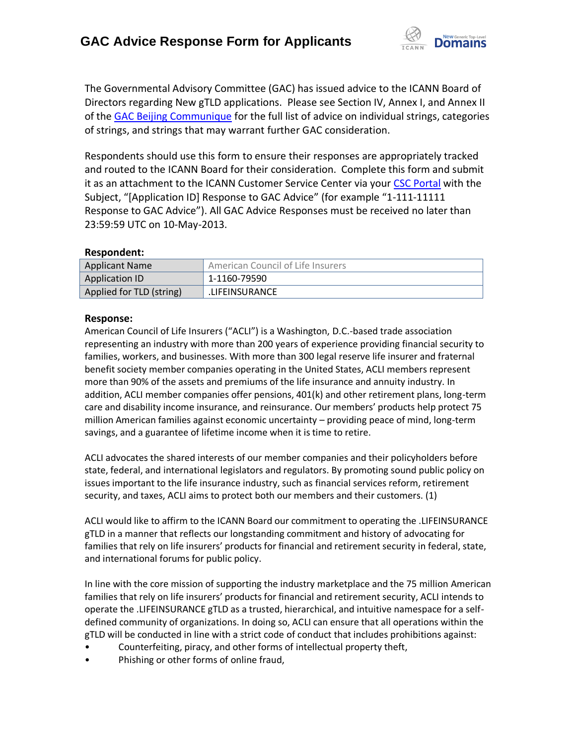

The Governmental Advisory Committee (GAC) has issued advice to the ICANN Board of Directors regarding New gTLD applications. Please see Section IV, Annex I, and Annex II of the [GAC Beijing Communique](http://www.icann.org/en/news/correspondence/gac-to-board-18apr13-en.pdf) for the full list of advice on individual strings, categories of strings, and strings that may warrant further GAC consideration.

Respondents should use this form to ensure their responses are appropriately tracked and routed to the ICANN Board for their consideration. Complete this form and submit it as an attachment to the ICANN Customer Service Center via your CSC [Portal](https://myicann.secure.force.com/) with the Subject, "[Application ID] Response to GAC Advice" (for example "1-111-11111 Response to GAC Advice"). All GAC Advice Responses must be received no later than 23:59:59 UTC on 10-May-2013.

## **Respondent:**

| <b>Applicant Name</b>    | American Council of Life Insurers |
|--------------------------|-----------------------------------|
| Application ID           | 1-1160-79590                      |
| Applied for TLD (string) | LIFEINSURANCE.                    |

## **Response:**

American Council of Life Insurers ("ACLI") is a Washington, D.C.-based trade association representing an industry with more than 200 years of experience providing financial security to families, workers, and businesses. With more than 300 legal reserve life insurer and fraternal benefit society member companies operating in the United States, ACLI members represent more than 90% of the assets and premiums of the life insurance and annuity industry. In addition, ACLI member companies offer pensions, 401(k) and other retirement plans, long-term care and disability income insurance, and reinsurance. Our members' products help protect 75 million American families against economic uncertainty – providing peace of mind, long-term savings, and a guarantee of lifetime income when it is time to retire.

ACLI advocates the shared interests of our member companies and their policyholders before state, federal, and international legislators and regulators. By promoting sound public policy on issues important to the life insurance industry, such as financial services reform, retirement security, and taxes, ACLI aims to protect both our members and their customers. (1)

ACLI would like to affirm to the ICANN Board our commitment to operating the .LIFEINSURANCE gTLD in a manner that reflects our longstanding commitment and history of advocating for families that rely on life insurers' products for financial and retirement security in federal, state, and international forums for public policy.

In line with the core mission of supporting the industry marketplace and the 75 million American families that rely on life insurers' products for financial and retirement security, ACLI intends to operate the .LIFEINSURANCE gTLD as a trusted, hierarchical, and intuitive namespace for a selfdefined community of organizations. In doing so, ACLI can ensure that all operations within the gTLD will be conducted in line with a strict code of conduct that includes prohibitions against:

- Counterfeiting, piracy, and other forms of intellectual property theft,
- Phishing or other forms of online fraud,